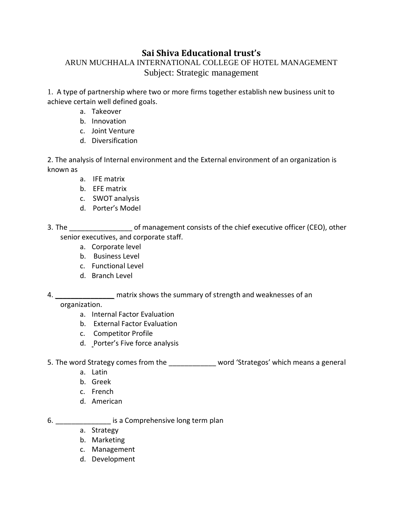# **Sai Shiva Educational trust's**

# ARUN MUCHHALA INTERNATIONAL COLLEGE OF HOTEL MANAGEMENT Subject: Strategic management

1. A type of partnership where two or more firms together establish new business unit to achieve certain well defined goals.

- a. Takeover
- b. Innovation
- c. Joint Venture
- d. Diversification

2. The analysis of Internal environment and the External environment of an organization is known as

- a. IFE matrix
- b. EFE matrix
- c. SWOT analysis
- d. Porter's Model
- 3. The chief executive of management consists of the chief executive officer (CEO), other senior executives, and corporate staff.
	- a. Corporate level
	- b. Business Level
	- c. Functional Level
	- d. Branch Level
- 4. *\_\_\_\_\_\_\_\_\_\_\_\_\_\_\_* matrix shows the summary of strength and weaknesses of an

### organization.

- a. Internal Factor Evaluation
- b. External Factor Evaluation
- c. Competitor Profile
- d. Porter's Five force analysis
- 5. The word Strategy comes from the word 'Strategos' which means a general
	- a. Latin
	- b. Greek
	- c. French
	- d. American
- 6. **Exercise 3** is a Comprehensive long term plan
	- a. Strategy
	- b. Marketing
	- c. Management
	- d. Development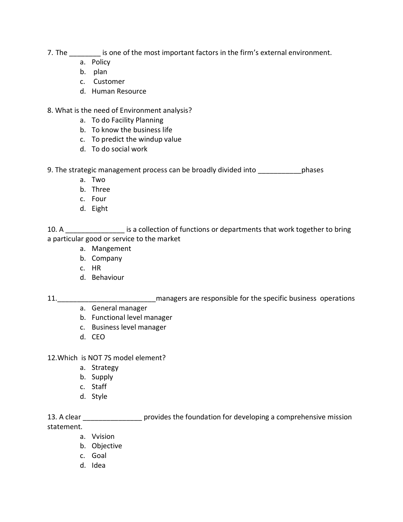- 7. The \_\_\_\_\_\_\_\_\_ is one of the most important factors in the firm's external environment.
	- a. Policy
	- b. plan
	- c. Customer
	- d. Human Resource
- 8. What is the need of Environment analysis?
	- a. To do Facility Planning
	- b. To know the business life
	- c. To predict the windup value
	- d. To do social work

9. The strategic management process can be broadly divided into phases

- a. Two
- b. Three
- c. Four
- d. Eight

10. A \_\_\_\_\_\_\_\_\_\_\_\_\_\_\_\_\_\_\_ is a collection of functions or departments that work together to bring a particular good or service to the market

- a. Mangement
- b. Company
- c. HR
- d. Behaviour

11. **11.** The managers are responsible for the specific business operations operations

- a. General manager
- b. Functional level manager
- c. Business level manager
- d. CEO

12.Which is NOT 7S model element?

- a. Strategy
- b. Supply
- c. Staff
- d. Style

13. A clear **the provides the foundation for developing a comprehensive mission** statement.

- a. Vvision
- b. Objective
- c. Goal
- d. Idea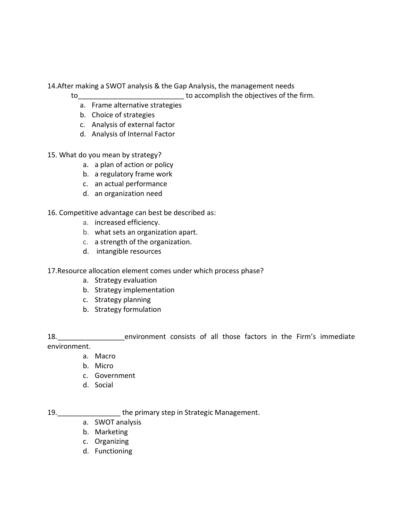14.After making a SWOT analysis & the Gap Analysis, the management needs

to the state of the firm.

- a. Frame alternative strategies
- b. Choice of strategies
- c. Analysis of external factor
- d. Analysis of Internal Factor
- 15. What do you mean by strategy?
	- a. a plan of action or policy
	- b. a regulatory frame work
	- c. an actual performance
	- d. an organization need

16. Competitive advantage can best be described as:

- a. increased efficiency.
- b. what sets an organization apart.
- c. a strength of the organization.
- d. intangible resources
- 17.Resource allocation element comes under which process phase?
	- a. Strategy evaluation
	- b. Strategy implementation
	- c. Strategy planning
	- b. Strategy formulation

18. The environment consists of all those factors in the Firm's immediate environment.

- a. Macro
- b. Micro
- c. Government
- d. Social

19.\_\_\_\_\_\_\_\_\_\_\_\_\_\_\_\_ the primary step in Strategic Management.

- a. SWOT analysis
- b. Marketing
- c. Organizing
- d. Functioning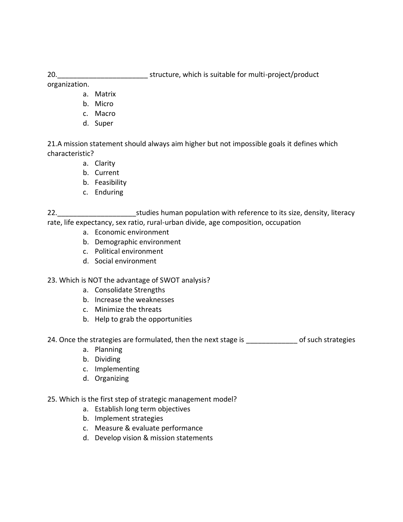20. The structure, which is suitable for multi-project/product

organization.

- a. Matrix
- b. Micro
- c. Macro
- d. Super

21.A mission statement should always aim higher but not impossible goals it defines which characteristic?

- a. Clarity
- b. Current
- b. Feasibility
- c. Enduring

22. \_\_\_\_\_\_\_\_\_\_\_\_\_\_\_\_\_\_\_\_\_\_\_\_\_\_\_\_studies human population with reference to its size, density, literacy rate, life expectancy, sex ratio, rural-urban divide, age composition, occupation

- a. Economic environment
- b. Demographic environment
- c. Political environment
- d. Social environment

### 23. Which is NOT the advantage of SWOT analysis?

- a. Consolidate Strengths
- b. Increase the weaknesses
- c. Minimize the threats
- b. Help to grab the opportunities

24. Once the strategies are formulated, then the next stage is \_\_\_\_\_\_\_\_\_\_\_\_\_\_\_\_ of such strategies

- a. Planning
- b. Dividing
- c. Implementing
- d. Organizing

### 25. Which is the first step of strategic management model?

- a. Establish long term objectives
- b. Implement strategies
- c. Measure & evaluate performance
- d. Develop vision & mission statements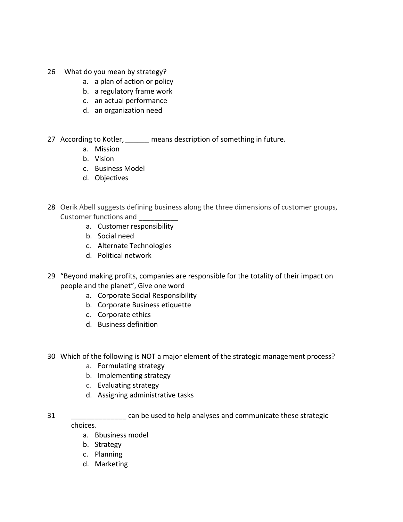- 26 What do you mean by strategy?
	- a. a plan of action or policy
	- b. a regulatory frame work
	- c. an actual performance
	- d. an organization need
- 27 According to Kotler, *\_\_\_\_\_\_* means description of something in future.
	- a. Mission
	- b. Vision
	- c. Business Model
	- d. Objectives
- 28 Oerik Abell suggests defining business along the three dimensions of customer groups, Customer functions and \_\_\_\_\_\_\_\_\_\_
	- a. Customer responsibility
	- b. Social need
	- c. Alternate Technologies
	- d. Political network
- 29 "Beyond making profits, companies are responsible for the totality of their impact on people and the planet", Give one word
	- a. Corporate Social Responsibility
	- b. Corporate Business etiquette
	- c. Corporate ethics
	- d. Business definition
- 30 Which of the following is NOT a major element of the strategic management process?
	- a. Formulating strategy
	- b. Implementing strategy
	- c. Evaluating strategy
	- d. Assigning administrative tasks
- 31 \_\_\_\_\_\_\_\_\_\_\_\_\_\_ can be used to help analyses and communicate these strategic choices.
	- a. Bbusiness model
	- b. Strategy
	- c. Planning
	- d. Marketing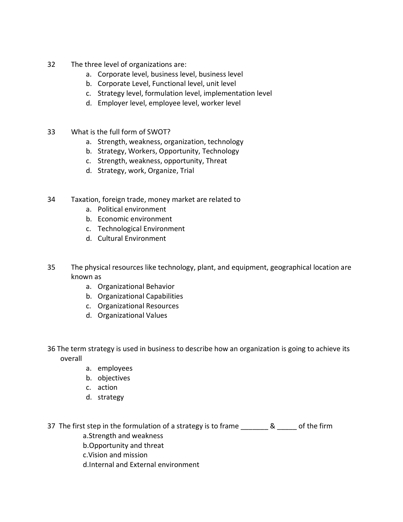- 32 The three level of organizations are:
	- a. Corporate level, business level, business level
	- b. Corporate Level, Functional level, unit level
	- c. Strategy level, formulation level, implementation level
	- d. Employer level, employee level, worker level
- 33 What is the full form of SWOT?
	- a. Strength, weakness, organization, technology
	- b. Strategy, Workers, Opportunity, Technology
	- c. Strength, weakness, opportunity, Threat
	- d. Strategy, work, Organize, Trial
- 34 Taxation, foreign trade, money market are related to
	- a. Political environment
	- b. Economic environment
	- c. Technological Environment
	- d. Cultural Environment
- 35 The physical resources like technology, plant, and equipment, geographical location are known as
	- a. Organizational Behavior
	- b. Organizational Capabilities
	- c. Organizational Resources
	- d. Organizational Values
- 36 The term strategy is used in business to describe how an organization is going to achieve its overall
	- a. employees
	- b. objectives
	- c. action
	- d. strategy

37 The first step in the formulation of a strategy is to frame \_\_\_\_\_\_\_ & \_\_\_\_\_ of the firm a.Strength and weakness

- b.Opportunity and threat
- c.Vision and mission
- d.Internal and External environment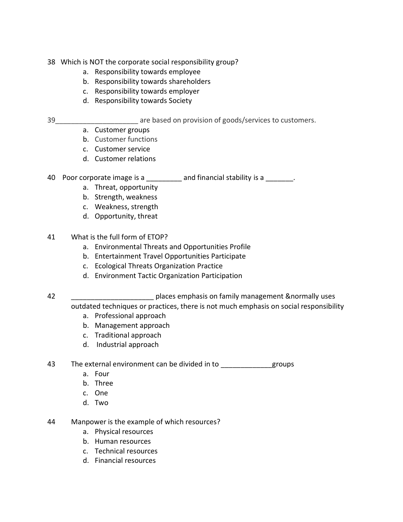- 38 Which is NOT the corporate social responsibility group?
	- a. Responsibility towards employee
	- b. Responsibility towards shareholders
	- c. Responsibility towards employer
	- d. Responsibility towards Society
- 

39\_\_\_\_\_\_\_\_\_\_\_\_\_\_\_\_\_\_\_\_\_ are based on provision of goods/services to customers.

- a. Customer groups
- b. Customer functions
- c. Customer service
- d. Customer relations

40 Poor corporate image is a \_\_\_\_\_\_\_\_\_ and financial stability is a \_\_\_\_\_\_\_.

- a. Threat, opportunity
- b. Strength, weakness
- c. Weakness, strength
- d. Opportunity, threat
- 41 What is the full form of ETOP?
	- a. Environmental Threats and Opportunities Profile
	- b. Entertainment Travel Opportunities Participate
	- c. Ecological Threats Organization Practice
	- d. Environment Tactic Organization Participation

42 \_\_\_\_\_\_\_\_\_\_\_\_\_\_\_\_\_\_\_\_\_ places emphasis on family management &normally uses outdated techniques or practices, there is not much emphasis on social responsibility

- a. Professional approach
- b. Management approach
- c. Traditional approach
- d. Industrial approach

43 The external environment can be divided in to \_\_\_\_\_\_\_\_\_\_\_\_\_\_\_groups

- a. Four
- b. Three
- c. One
- d. Two
- 44 Manpower is the example of which resources?
	- a. Physical resources
	- b. Human resources
	- c. Technical resources
	- d. Financial resources